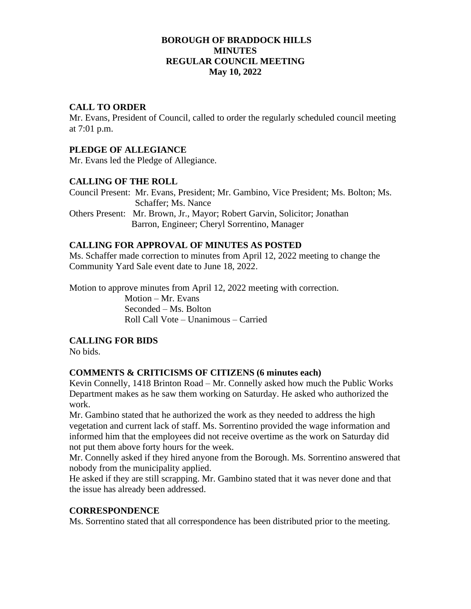#### **BOROUGH OF BRADDOCK HILLS MINUTES REGULAR COUNCIL MEETING May 10, 2022**

#### **CALL TO ORDER**

Mr. Evans, President of Council, called to order the regularly scheduled council meeting at 7:01 p.m.

# **PLEDGE OF ALLEGIANCE**

Mr. Evans led the Pledge of Allegiance.

### **CALLING OF THE ROLL**

Council Present: Mr. Evans, President; Mr. Gambino, Vice President; Ms. Bolton; Ms. Schaffer; Ms. Nance Others Present: Mr. Brown, Jr., Mayor; Robert Garvin, Solicitor; Jonathan

Barron, Engineer; Cheryl Sorrentino, Manager

#### **CALLING FOR APPROVAL OF MINUTES AS POSTED**

Ms. Schaffer made correction to minutes from April 12, 2022 meeting to change the Community Yard Sale event date to June 18, 2022.

Motion to approve minutes from April 12, 2022 meeting with correction.

Motion – Mr. Evans Seconded – Ms. Bolton Roll Call Vote – Unanimous – Carried

# **CALLING FOR BIDS**

No bids.

### **COMMENTS & CRITICISMS OF CITIZENS (6 minutes each)**

Kevin Connelly, 1418 Brinton Road – Mr. Connelly asked how much the Public Works Department makes as he saw them working on Saturday. He asked who authorized the work.

Mr. Gambino stated that he authorized the work as they needed to address the high vegetation and current lack of staff. Ms. Sorrentino provided the wage information and informed him that the employees did not receive overtime as the work on Saturday did not put them above forty hours for the week.

Mr. Connelly asked if they hired anyone from the Borough. Ms. Sorrentino answered that nobody from the municipality applied.

He asked if they are still scrapping. Mr. Gambino stated that it was never done and that the issue has already been addressed.

#### **CORRESPONDENCE**

Ms. Sorrentino stated that all correspondence has been distributed prior to the meeting.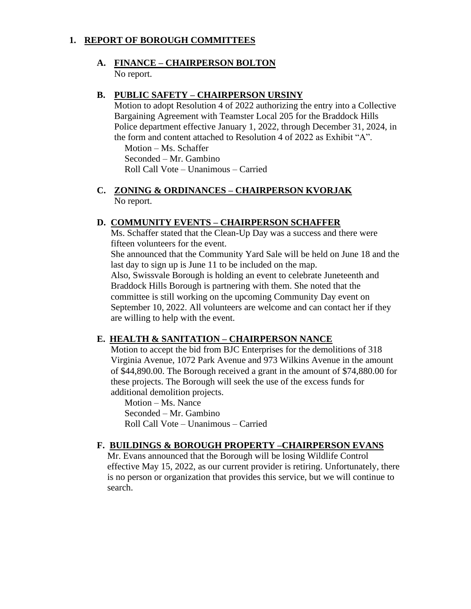## **1. REPORT OF BOROUGH COMMITTEES**

#### **A. FINANCE – CHAIRPERSON BOLTON** No report.

### **B. PUBLIC SAFETY – CHAIRPERSON URSINY**

Motion to adopt Resolution 4 of 2022 authorizing the entry into a Collective Bargaining Agreement with Teamster Local 205 for the Braddock Hills Police department effective January 1, 2022, through December 31, 2024, in the form and content attached to Resolution 4 of 2022 as Exhibit "A".

Motion – Ms. Schaffer Seconded – Mr. Gambino Roll Call Vote – Unanimous – Carried

**C. ZONING & ORDINANCES – CHAIRPERSON KVORJAK** No report.

### **D. COMMUNITY EVENTS – CHAIRPERSON SCHAFFER**

Ms. Schaffer stated that the Clean-Up Day was a success and there were fifteen volunteers for the event.

She announced that the Community Yard Sale will be held on June 18 and the last day to sign up is June 11 to be included on the map.

Also, Swissvale Borough is holding an event to celebrate Juneteenth and Braddock Hills Borough is partnering with them. She noted that the committee is still working on the upcoming Community Day event on September 10, 2022. All volunteers are welcome and can contact her if they are willing to help with the event.

### **E. HEALTH & SANITATION – CHAIRPERSON NANCE**

Motion to accept the bid from BJC Enterprises for the demolitions of 318 Virginia Avenue, 1072 Park Avenue and 973 Wilkins Avenue in the amount of \$44,890.00. The Borough received a grant in the amount of \$74,880.00 for these projects. The Borough will seek the use of the excess funds for additional demolition projects.

Motion – Ms. Nance Seconded – Mr. Gambino Roll Call Vote – Unanimous – Carried

### **F. BUILDINGS & BOROUGH PROPERTY –CHAIRPERSON EVANS**

Mr. Evans announced that the Borough will be losing Wildlife Control effective May 15, 2022, as our current provider is retiring. Unfortunately, there is no person or organization that provides this service, but we will continue to search.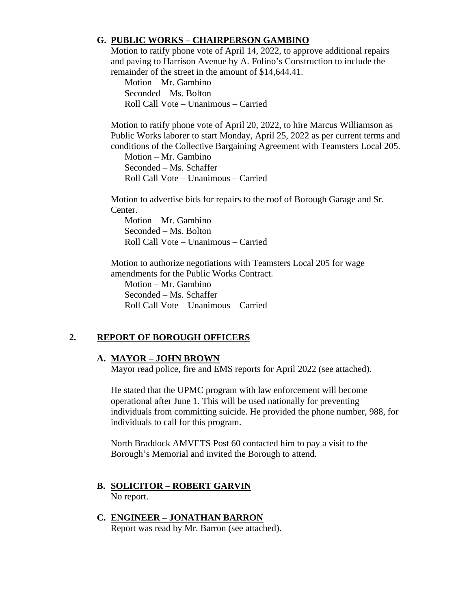## **G. PUBLIC WORKS – CHAIRPERSON GAMBINO**

Motion to ratify phone vote of April 14, 2022, to approve additional repairs and paving to Harrison Avenue by A. Folino's Construction to include the remainder of the street in the amount of \$14,644.41.

Motion – Mr. Gambino Seconded – Ms. Bolton Roll Call Vote – Unanimous – Carried

Motion to ratify phone vote of April 20, 2022, to hire Marcus Williamson as Public Works laborer to start Monday, April 25, 2022 as per current terms and conditions of the Collective Bargaining Agreement with Teamsters Local 205.

Motion – Mr. Gambino Seconded – Ms. Schaffer Roll Call Vote – Unanimous – Carried

Motion to advertise bids for repairs to the roof of Borough Garage and Sr. Center.

Motion – Mr. Gambino Seconded – Ms. Bolton Roll Call Vote – Unanimous – Carried

Motion to authorize negotiations with Teamsters Local 205 for wage amendments for the Public Works Contract.

Motion – Mr. Gambino Seconded – Ms. Schaffer Roll Call Vote – Unanimous – Carried

# **2. REPORT OF BOROUGH OFFICERS**

### **A. MAYOR – JOHN BROWN**

Mayor read police, fire and EMS reports for April 2022 (see attached).

He stated that the UPMC program with law enforcement will become operational after June 1. This will be used nationally for preventing individuals from committing suicide. He provided the phone number, 988, for individuals to call for this program.

North Braddock AMVETS Post 60 contacted him to pay a visit to the Borough's Memorial and invited the Borough to attend.

- **B. SOLICITOR – ROBERT GARVIN** No report.
- **C. ENGINEER – JONATHAN BARRON** Report was read by Mr. Barron (see attached).